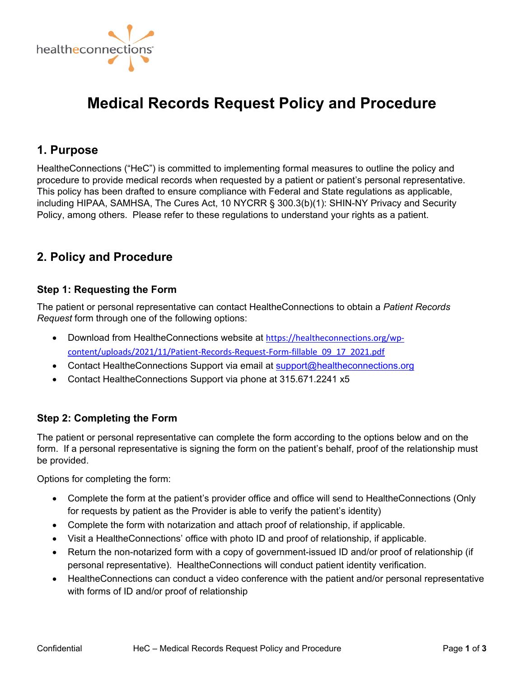

# **Medical Records Request Policy and Procedure**

# **1. Purpose**

HealtheConnections ("HeC") is committed to implementing formal measures to outline the policy and procedure to provide medical records when requested by a patient or patient's personal representative. This policy has been drafted to ensure compliance with Federal and State regulations as applicable, including HIPAA, SAMHSA, The Cures Act, 10 NYCRR § 300.3(b)(1): SHIN-NY Privacy and Security Policy, among others. Please refer to these regulations to understand your rights as a patient.

# **2. Policy and Procedure**

# **Step 1: Requesting the Form**

The patient or personal representative can contact HealtheConnections to obtain a *Patient Records Request* form through one of the following options:

- [Download from HealtheConnections website at](https://www.healtheconnections.org/wp-content/uploads/2021/11/Patient-Records-Request-Form-fillable_09_17_2021.pdf) https://healtheconnections.org/wpcontent/uploads/2021/11/Patient‐Records‐Request‐Form‐fillable\_09\_17\_2021.pdf
- Contact HealtheConnections Support via email at support@healtheconnections.org
- Contact HealtheConnections Support via phone at 315.671.2241 x5

# **Step 2: Completing the Form**

The patient or personal representative can complete the form according to the options below and on the form. If a personal representative is signing the form on the patient's behalf, proof of the relationship must be provided.

Options for completing the form:

- Complete the form at the patient's provider office and office will send to HealtheConnections (Only for requests by patient as the Provider is able to verify the patient's identity)
- Complete the form with notarization and attach proof of relationship, if applicable.
- Visit a HealtheConnections' office with photo ID and proof of relationship, if applicable.
- Return the non-notarized form with a copy of government-issued ID and/or proof of relationship (if personal representative). HealtheConnections will conduct patient identity verification.
- HealtheConnections can conduct a video conference with the patient and/or personal representative with forms of ID and/or proof of relationship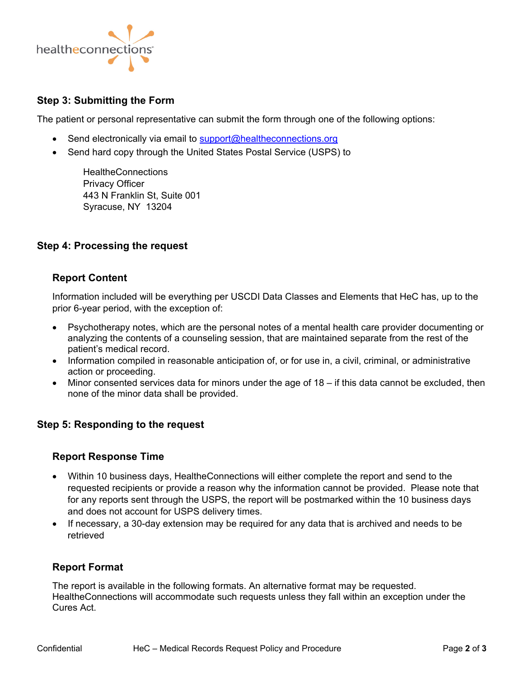

# **Step 3: Submitting the Form**

The patient or personal representative can submit the form through one of the following options:

- Send electronically via email to support@healtheconnections.org
- Send hard copy through the United States Postal Service (USPS) to

**HealtheConnections** Privacy Officer 443 N Franklin St, Suite 001 Syracuse, NY 13204

# **Step 4: Processing the request**

#### **Report Content**

Information included will be everything per USCDI Data Classes and Elements that HeC has, up to the prior 6-year period, with the exception of:

- Psychotherapy notes, which are the personal notes of a mental health care provider documenting or analyzing the contents of a counseling session, that are maintained separate from the rest of the patient's medical record.
- Information compiled in reasonable anticipation of, or for use in, a civil, criminal, or administrative action or proceeding.
- $\bullet$  Minor consented services data for minors under the age of 18 if this data cannot be excluded, then none of the minor data shall be provided.

#### **Step 5: Responding to the request**

#### **Report Response Time**

- Within 10 business days, HealtheConnections will either complete the report and send to the requested recipients or provide a reason why the information cannot be provided. Please note that for any reports sent through the USPS, the report will be postmarked within the 10 business days and does not account for USPS delivery times.
- If necessary, a 30-day extension may be required for any data that is archived and needs to be retrieved

#### **Report Format**

The report is available in the following formats. An alternative format may be requested. HealtheConnections will accommodate such requests unless they fall within an exception under the Cures Act.